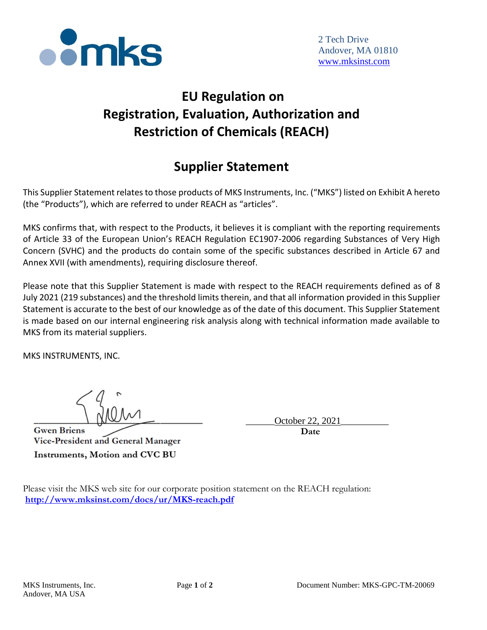

## **EU Regulation on Registration, Evaluation, Authorization and Restriction of Chemicals (REACH)**

## **Supplier Statement**

This Supplier Statement relates to those products of MKS Instruments, Inc. ("MKS") listed on Exhibit A hereto (the "Products"), which are referred to under REACH as "articles".

MKS confirms that, with respect to the Products, it believes it is compliant with the reporting requirements of Article 33 of the European Union's REACH Regulation EC1907-2006 regarding Substances of Very High Concern (SVHC) and the products do contain some of the specific substances described in Article 67 and Annex XVII (with amendments), requiring disclosure thereof.

Please note that this Supplier Statement is made with respect to the REACH requirements defined as of 8 July 2021 (219 substances) and the threshold limits therein, and that all information provided in this Supplier Statement is accurate to the best of our knowledge as of the date of this document. This Supplier Statement is made based on our internal engineering risk analysis along with technical information made available to MKS from its material suppliers.

MKS INSTRUMENTS, INC.

**Gwen Briens** Vice-President and General Manager Instruments, Motion and CVC BU

October 22

 **Date**

Please visit the MKS web site for our corporate position statement on the REACH regulation: **<http://www.mksinst.com/docs/ur/MKS-reach.pdf>**